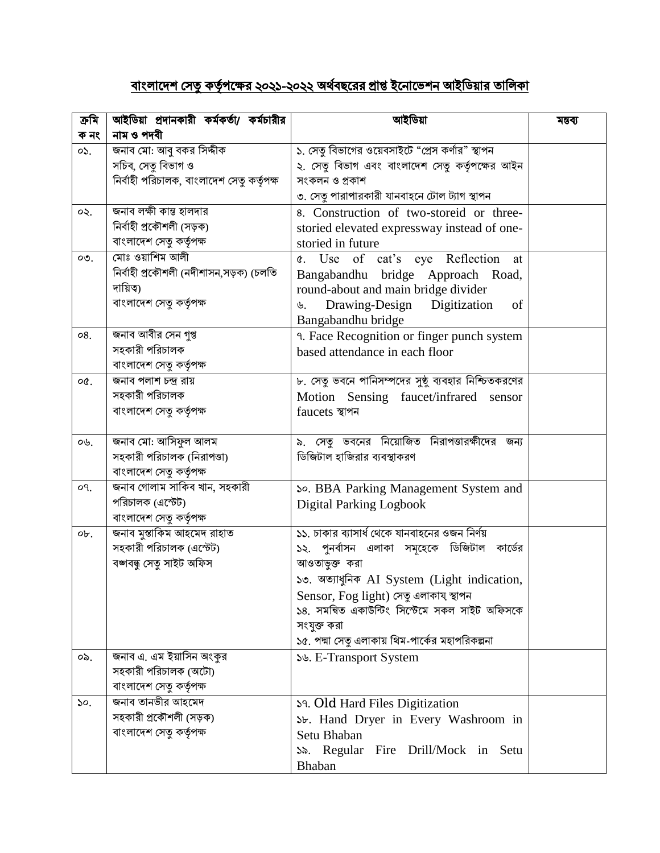## <u>বাংলাদেশ সেতু কর্তৃপক্ষের ২০২১-২০২২ অর্থবছরের প্রাপ্ত ইনোভেশন আইডিয়ার তালিকা</u>

| ক্ৰমি                         | আইডিয়া প্রদানকারী কর্মকর্তা/ কর্মচারীর        | আইডিয়া                                              | মন্তব্য |
|-------------------------------|------------------------------------------------|------------------------------------------------------|---------|
| ক নং                          | নাম ও পদবী                                     | ১. সেতু বিভাগের ওয়েবসাইটে "প্রেস কর্ণার" স্থাপন     |         |
| 05.                           | জনাব মো: আবু বকর সিদ্দীক<br>সচিব, সেতু বিভাগ ও | ২. সেতু বিভাগ এবং বাংলাদেশ সেতু কর্তৃপক্ষের আইন      |         |
|                               | নিৰ্বাহী পরিচালক, বাংলাদেশ সেতু কর্তৃপক্ষ      | সংকলন ও প্রকাশ                                       |         |
|                               |                                                | ৩. সেতু পারাপারকারী যানবাহনে টোল ট্যাগ স্থাপন        |         |
| ০২.                           | জনাব লক্ষী কান্ত হালদার                        | 8. Construction of two-storeid or three-             |         |
|                               | নিৰ্বাহী প্ৰকৌশলী (সড়ক)                       | storied elevated expressway instead of one-          |         |
|                               | বাংলাদেশ সেতৃ কর্তৃপক্ষ                        | storied in future                                    |         |
| $OQ$ .                        | মোঃ ওয়াশিম আলী                                | c. Use of cat's eye Reflection<br>at                 |         |
|                               | নিৰ্বাহী প্ৰকৌশলী (নদীশাসন,সড়ক) (চলতি         | Bangabandhu bridge Approach Road,                    |         |
|                               | দায়িত্ব)                                      | round-about and main bridge divider                  |         |
|                               | বাংলাদেশ সেতু কর্তৃপক্ষ                        | Drawing-Design<br>Digitization<br>of<br>৬.           |         |
|                               |                                                | Bangabandhu bridge                                   |         |
| 08.                           | জনাব আবীর সেন গুপ্ত                            | 9. Face Recognition or finger punch system           |         |
|                               | সহকারী পরিচালক                                 | based attendance in each floor                       |         |
|                               | বাংলাদেশ সেতু কর্তৃপক্ষ                        |                                                      |         |
| oQ.                           | জনাব পলাশ চন্দ্ৰ রায়                          | ৮. সেতু ভবনে পানিসম্পদের সুষ্ঠু ব্যবহার নিশ্চিতকরণের |         |
|                               | সহকারী পরিচালক                                 | Motion Sensing faucet/infrared<br>sensor             |         |
|                               | বাংলাদেশ সেতু কর্তৃপক্ষ                        | faucets স্থাপন                                       |         |
|                               |                                                |                                                      |         |
| OB.                           | জনাব মো: আসিফুল আলম                            | ৯. সেতু ভবনের নিয়োজিত নিরাপত্তারক্ষীদের জন্য        |         |
|                               | সহকারী পরিচালক (নিরাপত্তা)                     | ডিজিটাল হাজিরার ব্যবস্থাকরণ                          |         |
|                               | বাংলাদেশ সেতু কর্তৃপক্ষ                        |                                                      |         |
| о۹.                           | জনাব গোলাম সাকিব খান, সহকারী                   | So. BBA Parking Management System and                |         |
|                               | পরিচালক (এস্টেট)                               | <b>Digital Parking Logbook</b>                       |         |
|                               | বাংলাদেশ সেতু কর্তৃপক্ষ                        |                                                      |         |
| ob.                           | জনাব মুস্তাকিম আহমেদ রাহাত                     | ১১. চাকার ব্যাসার্ধ থেকে যানবাহনের ওজন নির্ণয়       |         |
|                               | সহকারী পরিচালক (এস্টেট)                        | ১২. পুনর্বাসন এলাকা সমূহেকে ডিজিটাল কার্ডের          |         |
|                               | বজ্ঞাবন্ধু সেতু সাইট অফিস                      | আওতাভুক্ত করা                                        |         |
|                               |                                                | ১৩. অত্যাধুনিক AI System (Light indication,          |         |
|                               |                                                | Sensor, Fog light) সেতু এলাকায স্থাপন                |         |
|                               |                                                | ১৪. সমন্বিত একাউন্টিং সিস্টেমে সকল সাইট অফিসকে       |         |
|                               |                                                | সংযুক্ত করা                                          |         |
|                               |                                                | ১৫. পদ্মা সেতু এলাকায় থিম-পার্কের মহাপরিকল্পনা      |         |
| οS.                           | জনাব এ. এম ইয়াসিন অংকুর                       | ১৬. E-Transport System                               |         |
|                               | সহকারী পরিচালক (অটো)                           |                                                      |         |
|                               | বাংলাদেশ সেতু কর্তৃপক্ষ                        |                                                      |         |
| $\mathcal{S}^{\mathcal{O}}$ . | জনাব তানভীর আহমেদ                              | Sq. Old Hard Files Digitization                      |         |
|                               | সহকারী প্রকৌশলী (সড়ক)                         | Sb. Hand Dryer in Every Washroom in                  |         |
|                               | বাংলাদেশ সেতু কর্তৃপক্ষ                        | Setu Bhaban                                          |         |
|                               |                                                | S. Regular Fire Drill/Mock in Setu                   |         |
|                               |                                                | Bhaban                                               |         |